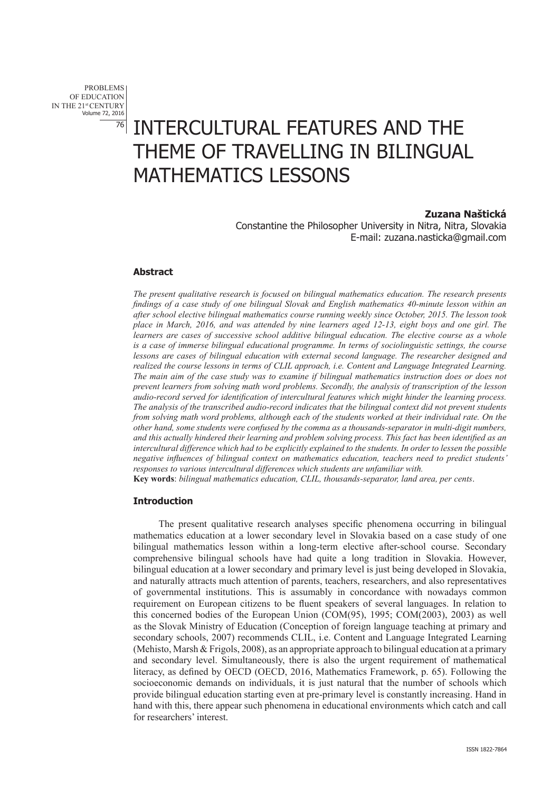PROBLEMS OF EDUCATION IN THE 21st CENTURY Volume 72, 2016 76

# INTERCULTURAL FEATURES AND THE THEME OF TRAVELLING IN BILINGUAL MATHEMATICS LESSONS

# **Zuzana Naštická**

Constantine the Philosopher University in Nitra, Nitra, Slovakia E-mail: zuzana.nasticka@gmail.com

# **Abstract**

*The present qualitative research is focused on bilingual mathematics education. The research presents findings of a case study of one bilingual Slovak and English mathematics 40-minute lesson within an after school elective bilingual mathematics course running weekly since October, 2015. The lesson took place in March, 2016, and was attended by nine learners aged 12-13, eight boys and one girl. The learners are cases of successive school additive bilingual education. The elective course as a whole is a case of immerse bilingual educational programme. In terms of sociolinguistic settings, the course lessons are cases of bilingual education with external second language. The researcher designed and realized the course lessons in terms of CLIL approach, i.e. Content and Language Integrated Learning. The main aim of the case study was to examine if bilingual mathematics instruction does or does not prevent learners from solving math word problems. Secondly, the analysis of transcription of the lesson audio-record served for identification of intercultural features which might hinder the learning process. The analysis of the transcribed audio-record indicates that the bilingual context did not prevent students from solving math word problems, although each of the students worked at their individual rate. On the other hand, some students were confused by the comma as a thousands-separator in multi-digit numbers, and this actually hindered their learning and problem solving process. This fact has been identified as an intercultural difference which had to be explicitly explained to the students. In order to lessen the possible negative influences of bilingual context on mathematics education, teachers need to predict students' responses to various intercultural differences which students are unfamiliar with.* **Key words**: *bilingual mathematics education, CLIL, thousands-separator, land area, per cents*.

## **Introduction**

The present qualitative research analyses specific phenomena occurring in bilingual mathematics education at a lower secondary level in Slovakia based on a case study of one bilingual mathematics lesson within a long-term elective after-school course. Secondary comprehensive bilingual schools have had quite a long tradition in Slovakia. However, bilingual education at a lower secondary and primary level is just being developed in Slovakia, and naturally attracts much attention of parents, teachers, researchers, and also representatives of governmental institutions. This is assumably in concordance with nowadays common requirement on European citizens to be fluent speakers of several languages. In relation to this concerned bodies of the European Union (COM(95), 1995; COM(2003), 2003) as well as the Slovak Ministry of Education (Conception of foreign language teaching at primary and secondary schools, 2007) recommends CLIL, i.e. Content and Language Integrated Learning (Mehisto, Marsh & Frigols, 2008), as an appropriate approach to bilingual education at a primary and secondary level. Simultaneously, there is also the urgent requirement of mathematical literacy, as defined by OECD (OECD, 2016, Mathematics Framework, p. 65). Following the socioeconomic demands on individuals, it is just natural that the number of schools which provide bilingual education starting even at pre-primary level is constantly increasing. Hand in hand with this, there appear such phenomena in educational environments which catch and call for researchers' interest.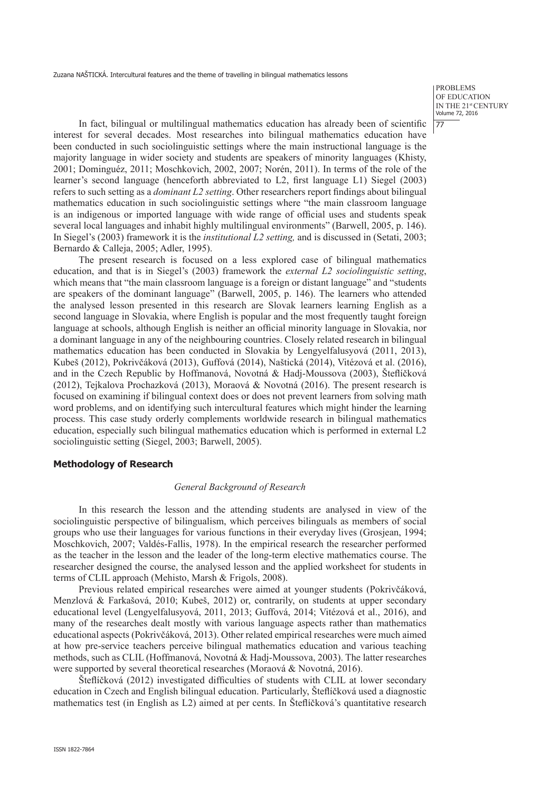PROBLEMS OF EDUCATION IN THE 21st CENTURY Volume 72, 2016 77

In fact, bilingual or multilingual mathematics education has already been of scientific interest for several decades. Most researches into bilingual mathematics education have been conducted in such sociolinguistic settings where the main instructional language is the majority language in wider society and students are speakers of minority languages (Khisty, 2001; Dominguéz, 2011; Moschkovich, 2002, 2007; Norén, 2011). In terms of the role of the learner's second language (henceforth abbreviated to L2, first language L1) Siegel (2003) refers to such setting as a *dominant L2 setting*. Other researchers report findings about bilingual mathematics education in such sociolinguistic settings where "the main classroom language is an indigenous or imported language with wide range of official uses and students speak several local languages and inhabit highly multilingual environments" (Barwell, 2005, p. 146). In Siegel's (2003) framework it is the *institutional L2 setting,* and is discussed in (Setati, 2003; Bernardo & Calleja, 2005; Adler, 1995).

The present research is focused on a less explored case of bilingual mathematics education, and that is in Siegel's (2003) framework the *external L2 sociolinguistic setting*, which means that "the main classroom language is a foreign or distant language" and "students are speakers of the dominant language" (Barwell, 2005, p. 146). The learners who attended the analysed lesson presented in this research are Slovak learners learning English as a second language in Slovakia, where English is popular and the most frequently taught foreign language at schools, although English is neither an official minority language in Slovakia, nor a dominant language in any of the neighbouring countries. Closely related research in bilingual mathematics education has been conducted in Slovakia by Lengyelfalusyová (2011, 2013), Kubeš (2012), Pokrivčáková (2013), Guffová (2014), Naštická (2014), Vitézová et al. (2016), and in the Czech Republic by Hoffmanová, Novotná & Hadj-Moussova (2003), Šteflíčková (2012), Tejkalova Prochazková (2013), Moraová & Novotná (2016). The present research is focused on examining if bilingual context does or does not prevent learners from solving math word problems, and on identifying such intercultural features which might hinder the learning process. This case study orderly complements worldwide research in bilingual mathematics education, especially such bilingual mathematics education which is performed in external L2 sociolinguistic setting (Siegel, 2003; Barwell, 2005).

# **Methodology of Research**

#### *General Background of Research*

In this research the lesson and the attending students are analysed in view of the sociolinguistic perspective of bilingualism, which perceives bilinguals as members of social groups who use their languages for various functions in their everyday lives (Grosjean, 1994; Moschkovich, 2007; Valdés-Fallis, 1978). In the empirical research the researcher performed as the teacher in the lesson and the leader of the long-term elective mathematics course. The researcher designed the course, the analysed lesson and the applied worksheet for students in terms of CLIL approach (Mehisto, Marsh & Frigols, 2008).

Previous related empirical researches were aimed at younger students (Pokrivčáková, Menzlová & Farkašová, 2010; Kubeš, 2012) or, contrarily, on students at upper secondary educational level (Lengyelfalusyová, 2011, 2013; Guffová, 2014; Vitézová et al., 2016), and many of the researches dealt mostly with various language aspects rather than mathematics educational aspects (Pokrivčáková, 2013). Other related empirical researches were much aimed at how pre-service teachers perceive bilingual mathematics education and various teaching methods, such as CLIL (Hoffmanová, Novotná & Hadj-Moussova, 2003). The latter researches were supported by several theoretical researches (Moraová & Novotná, 2016).

Šteflíčková (2012) investigated difficulties of students with CLIL at lower secondary education in Czech and English bilingual education. Particularly, Šteflíčková used a diagnostic mathematics test (in English as L2) aimed at per cents. In Šteflíčková's quantitative research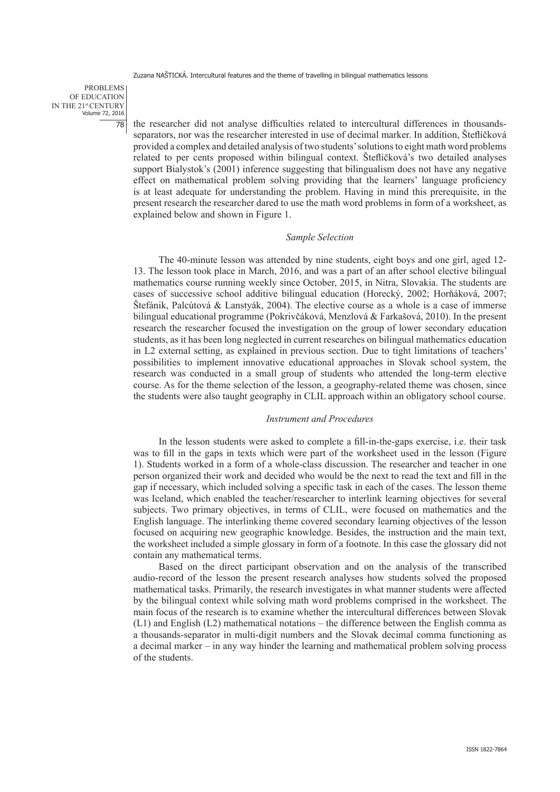PROBLEMS OF EDUCATION IN THE 21st CENTURY Volume 72, 2016 78

the researcher did not analyse difficulties related to intercultural differences in thousandsseparators, nor was the researcher interested in use of decimal marker. In addition, Šteflíčková provided a complex and detailed analysis of two students' solutions to eight math word problems related to per cents proposed within bilingual context. Šteflíčková's two detailed analyses support Bialystok's (2001) inference suggesting that bilingualism does not have any negative effect on mathematical problem solving providing that the learners' language proficiency is at least adequate for understanding the problem. Having in mind this prerequisite, in the present research the researcher dared to use the math word problems in form of a worksheet, as explained below and shown in Figure 1.

## *Sample Selection*

The 40-minute lesson was attended by nine students, eight boys and one girl, aged 12- 13. The lesson took place in March, 2016, and was a part of an after school elective bilingual mathematics course running weekly since October, 2015, in Nitra, Slovakia. The students are cases of successive school additive bilingual education (Horecký, 2002; Horňáková, 2007; Štefánik, Palcútová & Lanstyák, 2004). The elective course as a whole is a case of immerse bilingual educational programme (Pokrivčáková, Menzlová & Farkašová, 2010). In the present research the researcher focused the investigation on the group of lower secondary education students, as it has been long neglected in current researches on bilingual mathematics education in L2 external setting, as explained in previous section. Due to tight limitations of teachers' possibilities to implement innovative educational approaches in Slovak school system, the research was conducted in a small group of students who attended the long-term elective course. As for the theme selection of the lesson, a geography-related theme was chosen, since the students were also taught geography in CLIL approach within an obligatory school course.

# *Instrument and Procedures*

In the lesson students were asked to complete a fill-in-the-gaps exercise, i.e. their task was to fill in the gaps in texts which were part of the worksheet used in the lesson (Figure 1). Students worked in a form of a whole-class discussion. The researcher and teacher in one person organized their work and decided who would be the next to read the text and fill in the gap if necessary, which included solving a specific task in each of the cases. The lesson theme was Iceland, which enabled the teacher/researcher to interlink learning objectives for several subjects. Two primary objectives, in terms of CLIL, were focused on mathematics and the English language. The interlinking theme covered secondary learning objectives of the lesson focused on acquiring new geographic knowledge. Besides, the instruction and the main text, the worksheet included a simple glossary in form of a footnote. In this case the glossary did not contain any mathematical terms.

Based on the direct participant observation and on the analysis of the transcribed audio-record of the lesson the present research analyses how students solved the proposed mathematical tasks. Primarily, the research investigates in what manner students were affected by the bilingual context while solving math word problems comprised in the worksheet. The main focus of the research is to examine whether the intercultural differences between Slovak (L1) and English (L2) mathematical notations – the difference between the English comma as a thousands-separator in multi-digit numbers and the Slovak decimal comma functioning as a decimal marker – in any way hinder the learning and mathematical problem solving process of the students.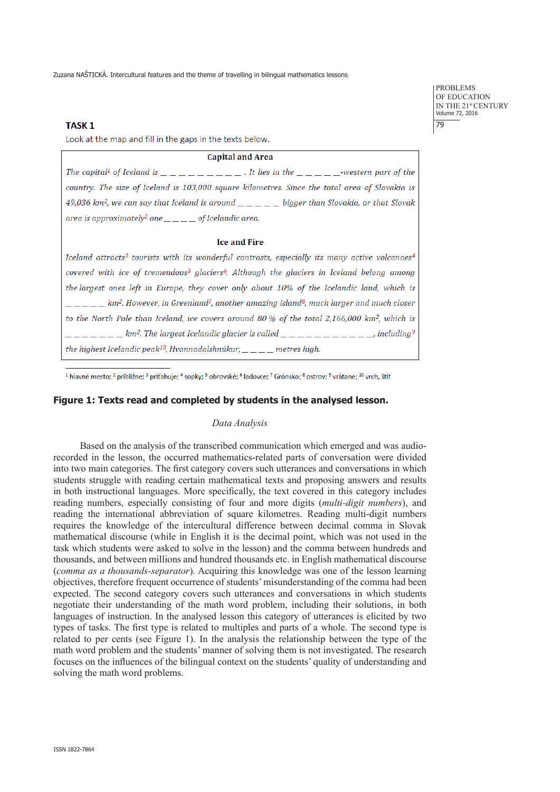# **TASK1**

Look at the map and fill in the gaps in the texts below.

#### **Capital and Area**

| The capital <sup>1</sup> of Iceland is ______________. It lies in the ______.western part of the                                                                                                                                                                                                                                                                                                        |  |
|---------------------------------------------------------------------------------------------------------------------------------------------------------------------------------------------------------------------------------------------------------------------------------------------------------------------------------------------------------------------------------------------------------|--|
| country. The size of Iceland is 103,000 square kilometres. Since the total area of Slovakia is                                                                                                                                                                                                                                                                                                          |  |
| 49,036 km <sup>2</sup> , we can say that Iceland is around $\_\_ \_\_ \_\_ \_$ bigger than Slovakia, or that Slovak                                                                                                                                                                                                                                                                                     |  |
| area is approximately <sup>2</sup> one $\frac{1}{1-\frac{1}{1-\frac{1}{1-\frac{1}{1-\frac{1}{1-\frac{1}{1-\frac{1}{1-\frac{1}{1-\frac{1}{1-\frac{1}{1-\frac{1}{1-\frac{1}{1-\frac{1}{1-\frac{1}{1-\frac{1}{1-\frac{1}{1-\frac{1}{1-\frac{1}{1-\frac{1}{1-\frac{1}{1-\frac{1}{1-\frac{1}{1-\frac{1}{1-\frac{1}{1-\frac{1}{1-\frac{1}{1-\frac{1}{1-\frac{1}{1-\frac{1}{1-\frac{1}{1-\frac{1}{1-\frac{1}{$ |  |

## **Ice and Fire**

Iceland attracts<sup>3</sup> tourists with its wonderful contrasts, especially its many active volcanoes<sup>4</sup> covered with ice of tremendous<sup>5</sup> glaciers<sup>6</sup>. Although the glaciers in Iceland belong among the largest ones left in Europe, they cover only about 10% of the Icelandic land, which is  $\frac{1}{1}$  =  $\frac{1}{1}$  =  $\frac{1}{2}$  km<sup>2</sup>. However, in Greenland<sup>7</sup>, another amazing island<sup>8</sup>, much larger and much closer to the North Pole than Iceland, ice covers around 80 % of the total 2,166,000 km<sup>2</sup>, which is  $\frac{1}{2}$   $\frac{1}{2}$   $\frac{1}{2}$   $\frac{1}{2}$   $\frac{1}{2}$   $\frac{1}{2}$   $\frac{1}{2}$   $\frac{1}{2}$   $\frac{1}{2}$   $\frac{1}{2}$   $\frac{1}{2}$   $\frac{1}{2}$   $\frac{1}{2}$   $\frac{1}{2}$   $\frac{1}{2}$   $\frac{1}{2}$   $\frac{1}{2}$   $\frac{1}{2}$   $\frac{1}{2}$   $\frac{1}{2}$   $\frac{1}{2}$   $\frac{1}{2}$  the highest Icelandic peak<sup>10</sup>, Hvannadalshnúkur,  $\_\_ \_\_ \_\_ \$  metres high.

<sup>1</sup> hlavné mesto; <sup>2</sup> približne; <sup>3</sup> priťahuje; <sup>4</sup> sopky; <sup>5</sup> obrovské; <sup>6</sup> ľadovce; <sup>7</sup> Grónsko; <sup>8</sup> ostrov; <sup>9</sup> vrátane; <sup>10</sup> vrch, štít

# **Figure 1: Texts read and completed by students in the analysed lesson.**

# *Data Analysis*

Based on the analysis of the transcribed communication which emerged and was audiorecorded in the lesson, the occurred mathematics-related parts of conversation were divided into two main categories. The first category covers such utterances and conversations in which students struggle with reading certain mathematical texts and proposing answers and results in both instructional languages. More specifically, the text covered in this category includes reading numbers, especially consisting of four and more digits (*multi-digit numbers*), and reading the international abbreviation of square kilometres. Reading multi-digit numbers requires the knowledge of the intercultural difference between decimal comma in Slovak mathematical discourse (while in English it is the decimal point, which was not used in the task which students were asked to solve in the lesson) and the comma between hundreds and thousands, and between millions and hundred thousands etc. in English mathematical discourse (*comma as a thousands-separator*). Acquiring this knowledge was one of the lesson learning objectives, therefore frequent occurrence of students' misunderstanding of the comma had been expected. The second category covers such utterances and conversations in which students negotiate their understanding of the math word problem, including their solutions, in both languages of instruction. In the analysed lesson this category of utterances is elicited by two types of tasks. The first type is related to multiples and parts of a whole. The second type is related to per cents (see Figure 1). In the analysis the relationship between the type of the math word problem and the students' manner of solving them is not investigated. The research focuses on the influences of the bilingual context on the students' quality of understanding and solving the math word problems.

PROBLEMS OF EDUCATION IN THE 21st CENTURY Volume 72, 2016  $\overline{79}$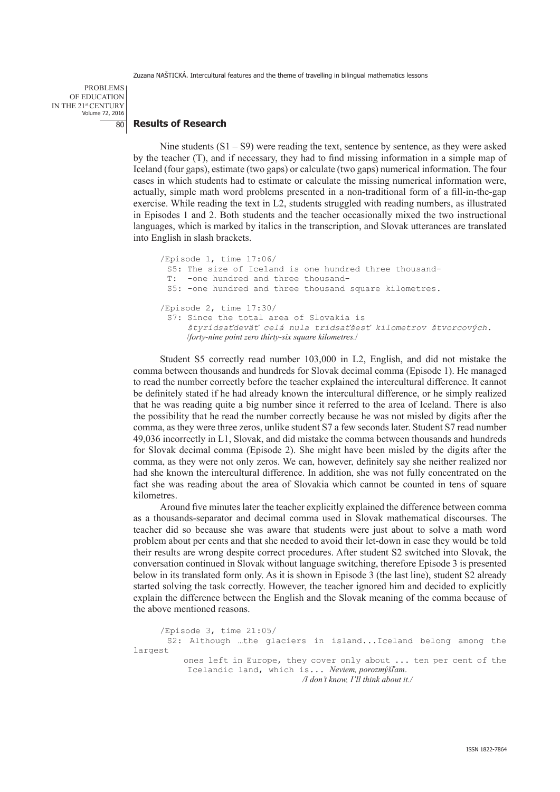PROBLEMS OF EDUCATION IN THE 21st CENTURY Volume 72, 2016 80

## **Results of Research**

Nine students  $(S1 – S9)$  were reading the text, sentence by sentence, as they were asked by the teacher (T), and if necessary, they had to find missing information in a simple map of Iceland (four gaps), estimate (two gaps) or calculate (two gaps) numerical information. The four cases in which students had to estimate or calculate the missing numerical information were, actually, simple math word problems presented in a non-traditional form of a fill-in-the-gap exercise. While reading the text in L2, students struggled with reading numbers, as illustrated in Episodes 1 and 2. Both students and the teacher occasionally mixed the two instructional languages, which is marked by italics in the transcription, and Slovak utterances are translated into English in slash brackets.

```
/Episode 1, time 17:06/
 S5: The size of Iceland is one hundred three thousand-
 T: -one hundred and three thousand-
 S5: -one hundred and three thousand square kilometres.
/Episode 2, time 17:30/
 S7: Since the total area of Slovakia is
      štyridsaťdeväť celá nula tridsaťšesť kilometrov štvorcových. 
      /forty-nine point zero thirty-six square kilometres./
```
Student S5 correctly read number 103,000 in L2, English, and did not mistake the comma between thousands and hundreds for Slovak decimal comma (Episode 1). He managed to read the number correctly before the teacher explained the intercultural difference. It cannot be definitely stated if he had already known the intercultural difference, or he simply realized that he was reading quite a big number since it referred to the area of Iceland. There is also the possibility that he read the number correctly because he was not misled by digits after the comma, as they were three zeros, unlike student S7 a few seconds later. Student S7 read number 49,036 incorrectly in L1, Slovak, and did mistake the comma between thousands and hundreds for Slovak decimal comma (Episode 2). She might have been misled by the digits after the comma, as they were not only zeros. We can, however, definitely say she neither realized nor had she known the intercultural difference. In addition, she was not fully concentrated on the fact she was reading about the area of Slovakia which cannot be counted in tens of square kilometres.

Around five minutes later the teacher explicitly explained the difference between comma as a thousands-separator and decimal comma used in Slovak mathematical discourses. The teacher did so because she was aware that students were just about to solve a math word problem about per cents and that she needed to avoid their let-down in case they would be told their results are wrong despite correct procedures. After student S2 switched into Slovak, the conversation continued in Slovak without language switching, therefore Episode 3 is presented below in its translated form only. As it is shown in Episode 3 (the last line), student S2 already started solving the task correctly. However, the teacher ignored him and decided to explicitly explain the difference between the English and the Slovak meaning of the comma because of the above mentioned reasons.

```
/Episode 3, time 21:05/
       S2: Although …the glaciers in island...Iceland belong among the 
largest
            ones left in Europe, they cover only about ... ten per cent of the 
            Icelandic land, which is... Neviem, porozmýšľam.
                                      /I don't know, I'll think about it./
```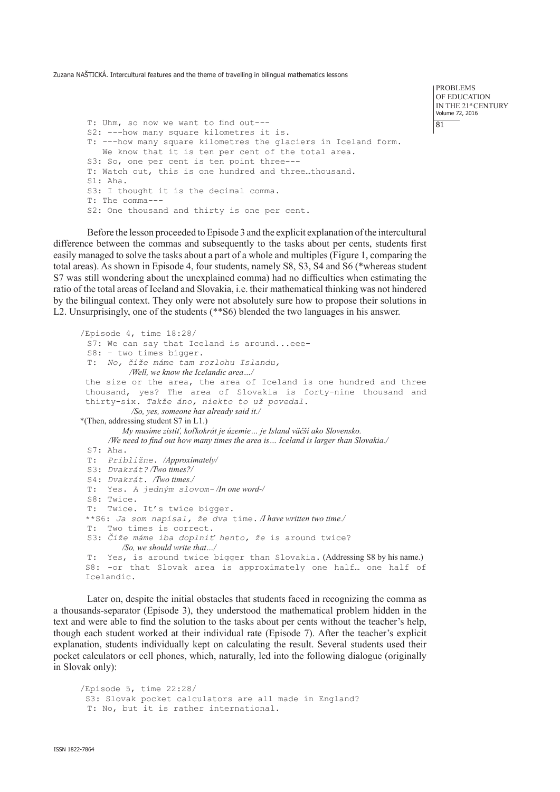PROBLEMS OF EDUCATION IN THE 21st CENTURY Volume 72, 2016 81

T: Uhm, so now we want to find out--- S2: ---how many square kilometres it is. T: ---how many square kilometres the glaciers in Iceland form. We know that it is ten per cent of the total area. S3: So, one per cent is ten point three--- T: Watch out, this is one hundred and three…thousand. S1: Aha. S3: I thought it is the decimal comma. T: The comma--- S2: One thousand and thirty is one per cent.

Before the lesson proceeded to Episode 3 and the explicit explanation of the intercultural difference between the commas and subsequently to the tasks about per cents, students first easily managed to solve the tasks about a part of a whole and multiples (Figure 1, comparing the total areas). As shown in Episode 4, four students, namely S8, S3, S4 and S6 (\*whereas student S7 was still wondering about the unexplained comma) had no difficulties when estimating the ratio of the total areas of Iceland and Slovakia, i.e. their mathematical thinking was not hindered by the bilingual context. They only were not absolutely sure how to propose their solutions in L2. Unsurprisingly, one of the students (\*\*S6) blended the two languages in his answer.

```
/Episode 4, time 18:28/
 S7: We can say that Iceland is around...eee-
 S8: - two times bigger. 
 T: No, čiže máme tam rozlohu Islandu, 
           /Well, we know the Icelandic area…/
the size or the area, the area of Iceland is one hundred and three 
 thousand, yes? The area of Slovakia is forty-nine thousand and 
thirty-six. Takže áno, niekto to už povedal. 
            /So, yes, someone has already said it./
*(Then, addressing student S7 in L1.)
          My musíme zistiť, koľkokrát je územie… je Island väčší ako Slovensko.
      /We need to find out how many times the area is… Iceland is larger than Slovakia./
 S7: Aha.
 T: Približne. /Approximately/
 S3: Dvakrát? /Two times?/
 S4: Dvakrát. /Two times./
 T: Yes. A jedným slovom- /In one word-/
 S8: Twice.
 T: Twice. It's twice bigger.
 **S6: Ja som napísal, že dva time. /I have written two time./
 T: Two times is correct.
 S3: Čiže máme iba doplniť hento, že is around twice?
         /So, we should write that…/
 T: Yes, is around twice bigger than Slovakia. (Addressing S8 by his name.) 
S8: -or that Slovak area is approximately one half… one half of 
Icelandic.
```
Later on, despite the initial obstacles that students faced in recognizing the comma as a thousands-separator (Episode 3), they understood the mathematical problem hidden in the text and were able to find the solution to the tasks about per cents without the teacher's help, though each student worked at their individual rate (Episode 7). After the teacher's explicit explanation, students individually kept on calculating the result. Several students used their pocket calculators or cell phones, which, naturally, led into the following dialogue (originally in Slovak only):

```
/Episode 5, time 22:28/
S3: Slovak pocket calculators are all made in England?
 T: No, but it is rather international.
```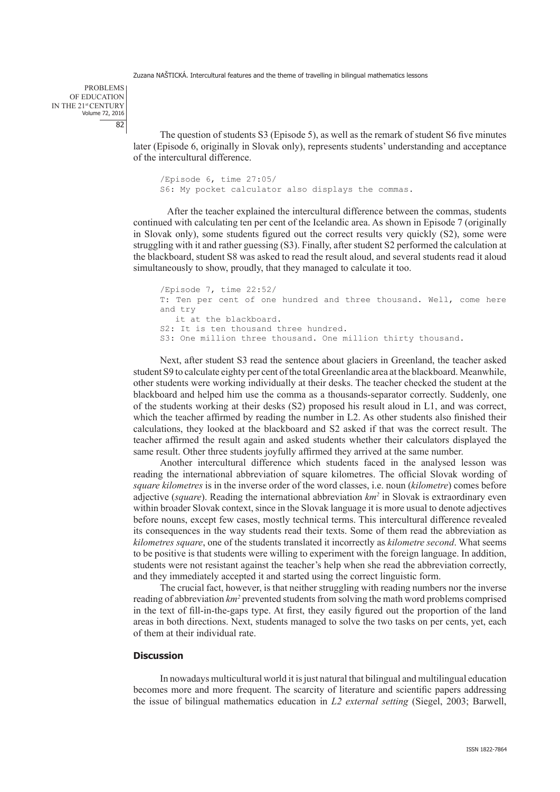PROBLEMS OF EDUCATION IN THE 21st CENTURY Volume 72, 2016 82

> The question of students S3 (Episode 5), as well as the remark of student S6 five minutes later (Episode 6, originally in Slovak only), represents students' understanding and acceptance of the intercultural difference.

/Episode 6, time 27:05/ S6: My pocket calculator also displays the commas.

After the teacher explained the intercultural difference between the commas, students continued with calculating ten per cent of the Icelandic area. As shown in Episode 7 (originally in Slovak only), some students figured out the correct results very quickly (S2), some were struggling with it and rather guessing (S3). Finally, after student S2 performed the calculation at the blackboard, student S8 was asked to read the result aloud, and several students read it aloud simultaneously to show, proudly, that they managed to calculate it too.

/Episode 7, time 22:52/ T: Ten per cent of one hundred and three thousand. Well, come here and try it at the blackboard. S2: It is ten thousand three hundred. S3: One million three thousand. One million thirty thousand.

Next, after student S3 read the sentence about glaciers in Greenland, the teacher asked student S9 to calculate eighty per cent of the total Greenlandic area at the blackboard. Meanwhile, other students were working individually at their desks. The teacher checked the student at the blackboard and helped him use the comma as a thousands-separator correctly. Suddenly, one of the students working at their desks (S2) proposed his result aloud in L1, and was correct, which the teacher affirmed by reading the number in L2. As other students also finished their calculations, they looked at the blackboard and S2 asked if that was the correct result. The teacher affirmed the result again and asked students whether their calculators displayed the same result. Other three students joyfully affirmed they arrived at the same number.

Another intercultural difference which students faced in the analysed lesson was reading the international abbreviation of square kilometres. The official Slovak wording of *square kilometres* is in the inverse order of the word classes, i.e. noun (*kilometre*) comes before adjective (*square*). Reading the international abbreviation *km2* in Slovak is extraordinary even within broader Slovak context, since in the Slovak language it is more usual to denote adjectives before nouns, except few cases, mostly technical terms. This intercultural difference revealed its consequences in the way students read their texts. Some of them read the abbreviation as *kilometres square*, one of the students translated it incorrectly as *kilometre second*. What seems to be positive is that students were willing to experiment with the foreign language. In addition, students were not resistant against the teacher's help when she read the abbreviation correctly, and they immediately accepted it and started using the correct linguistic form.

The crucial fact, however, is that neither struggling with reading numbers nor the inverse reading of abbreviation  $km^2$  prevented students from solving the math word problems comprised in the text of fill-in-the-gaps type. At first, they easily figured out the proportion of the land areas in both directions. Next, students managed to solve the two tasks on per cents, yet, each of them at their individual rate.

# **Discussion**

In nowadays multicultural world it is just natural that bilingual and multilingual education becomes more and more frequent. The scarcity of literature and scientific papers addressing the issue of bilingual mathematics education in *L2 external setting* (Siegel, 2003; Barwell,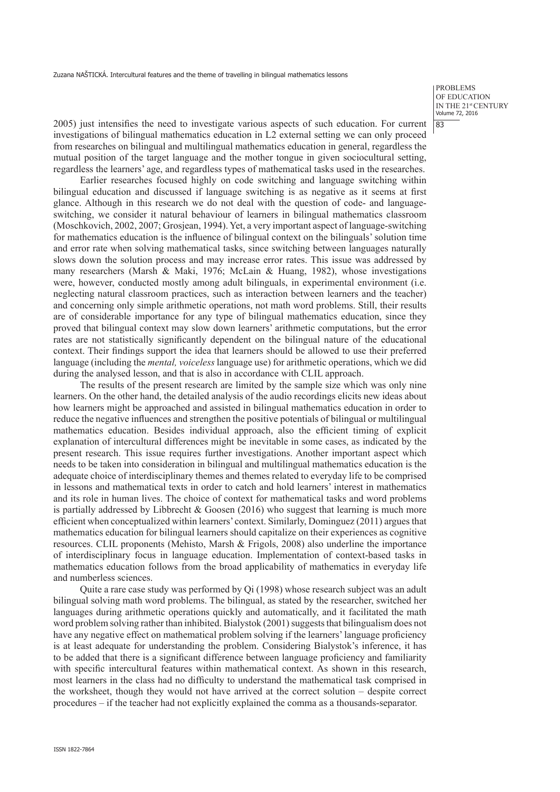PROBLEMS OF EDUCATION IN THE 21st CENTURY Volume 72, 2016 83

2005) just intensifies the need to investigate various aspects of such education. For current investigations of bilingual mathematics education in L2 external setting we can only proceed from researches on bilingual and multilingual mathematics education in general, regardless the mutual position of the target language and the mother tongue in given sociocultural setting, regardless the learners' age, and regardless types of mathematical tasks used in the researches.

Earlier researches focused highly on code switching and language switching within bilingual education and discussed if language switching is as negative as it seems at first glance. Although in this research we do not deal with the question of code- and languageswitching, we consider it natural behaviour of learners in bilingual mathematics classroom (Moschkovich, 2002, 2007; Grosjean, 1994). Yet, a very important aspect of language-switching for mathematics education is the influence of bilingual context on the bilinguals' solution time and error rate when solving mathematical tasks, since switching between languages naturally slows down the solution process and may increase error rates. This issue was addressed by many researchers (Marsh & Maki, 1976; McLain & Huang, 1982), whose investigations were, however, conducted mostly among adult bilinguals, in experimental environment (i.e. neglecting natural classroom practices, such as interaction between learners and the teacher) and concerning only simple arithmetic operations, not math word problems. Still, their results are of considerable importance for any type of bilingual mathematics education, since they proved that bilingual context may slow down learners' arithmetic computations, but the error rates are not statistically significantly dependent on the bilingual nature of the educational context. Their findings support the idea that learners should be allowed to use their preferred language (including the *mental, voiceless* language use) for arithmetic operations, which we did during the analysed lesson, and that is also in accordance with CLIL approach.

The results of the present research are limited by the sample size which was only nine learners. On the other hand, the detailed analysis of the audio recordings elicits new ideas about how learners might be approached and assisted in bilingual mathematics education in order to reduce the negative influences and strengthen the positive potentials of bilingual or multilingual mathematics education. Besides individual approach, also the efficient timing of explicit explanation of intercultural differences might be inevitable in some cases, as indicated by the present research. This issue requires further investigations. Another important aspect which needs to be taken into consideration in bilingual and multilingual mathematics education is the adequate choice of interdisciplinary themes and themes related to everyday life to be comprised in lessons and mathematical texts in order to catch and hold learners' interest in mathematics and its role in human lives. The choice of context for mathematical tasks and word problems is partially addressed by Libbrecht  $&$  Goosen (2016) who suggest that learning is much more efficient when conceptualized within learners' context. Similarly, Dominguez (2011) argues that mathematics education for bilingual learners should capitalize on their experiences as cognitive resources. CLIL proponents (Mehisto, Marsh & Frigols, 2008) also underline the importance of interdisciplinary focus in language education. Implementation of context-based tasks in mathematics education follows from the broad applicability of mathematics in everyday life and numberless sciences.

Quite a rare case study was performed by Qi (1998) whose research subject was an adult bilingual solving math word problems. The bilingual, as stated by the researcher, switched her languages during arithmetic operations quickly and automatically, and it facilitated the math word problem solving rather than inhibited. Bialystok (2001) suggests that bilingualism does not have any negative effect on mathematical problem solving if the learners' language proficiency is at least adequate for understanding the problem. Considering Bialystok's inference, it has to be added that there is a significant difference between language proficiency and familiarity with specific intercultural features within mathematical context. As shown in this research, most learners in the class had no difficulty to understand the mathematical task comprised in the worksheet, though they would not have arrived at the correct solution – despite correct procedures – if the teacher had not explicitly explained the comma as a thousands-separator.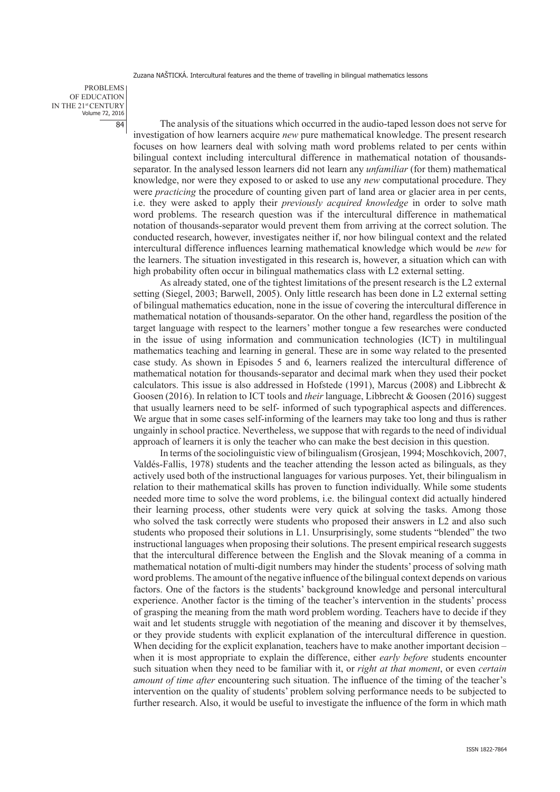PROBLEMS OF EDUCATION IN THE 21st CENTURY Volume 72, 2016 84

The analysis of the situations which occurred in the audio-taped lesson does not serve for investigation of how learners acquire *new* pure mathematical knowledge. The present research focuses on how learners deal with solving math word problems related to per cents within bilingual context including intercultural difference in mathematical notation of thousandsseparator. In the analysed lesson learners did not learn any *unfamiliar* (for them) mathematical knowledge, nor were they exposed to or asked to use any *new* computational procedure. They were *practicing* the procedure of counting given part of land area or glacier area in per cents, i.e. they were asked to apply their *previously acquired knowledge* in order to solve math word problems. The research question was if the intercultural difference in mathematical notation of thousands-separator would prevent them from arriving at the correct solution. The conducted research, however, investigates neither if, nor how bilingual context and the related intercultural difference influences learning mathematical knowledge which would be *new* for the learners. The situation investigated in this research is, however, a situation which can with high probability often occur in bilingual mathematics class with L2 external setting.

As already stated, one of the tightest limitations of the present research is the L2 external setting (Siegel, 2003; Barwell, 2005). Only little research has been done in L2 external setting of bilingual mathematics education, none in the issue of covering the intercultural difference in mathematical notation of thousands-separator. On the other hand, regardless the position of the target language with respect to the learners' mother tongue a few researches were conducted in the issue of using information and communication technologies (ICT) in multilingual mathematics teaching and learning in general. These are in some way related to the presented case study. As shown in Episodes 5 and 6, learners realized the intercultural difference of mathematical notation for thousands-separator and decimal mark when they used their pocket calculators. This issue is also addressed in Hofstede (1991), Marcus (2008) and Libbrecht & Goosen (2016). In relation to ICT tools and *their* language, Libbrecht & Goosen (2016) suggest that usually learners need to be self- informed of such typographical aspects and differences. We argue that in some cases self-informing of the learners may take too long and thus is rather ungainly in school practice. Nevertheless, we suppose that with regards to the need of individual approach of learners it is only the teacher who can make the best decision in this question.

In terms of the sociolinguistic view of bilingualism (Grosjean, 1994; Moschkovich, 2007, Valdés-Fallis, 1978) students and the teacher attending the lesson acted as bilinguals, as they actively used both of the instructional languages for various purposes. Yet, their bilingualism in relation to their mathematical skills has proven to function individually. While some students needed more time to solve the word problems, i.e. the bilingual context did actually hindered their learning process, other students were very quick at solving the tasks. Among those who solved the task correctly were students who proposed their answers in L2 and also such students who proposed their solutions in L1. Unsurprisingly, some students "blended" the two instructional languages when proposing their solutions. The present empirical research suggests that the intercultural difference between the English and the Slovak meaning of a comma in mathematical notation of multi-digit numbers may hinder the students' process of solving math word problems. The amount of the negative influence of the bilingual context depends on various factors. One of the factors is the students' background knowledge and personal intercultural experience. Another factor is the timing of the teacher's intervention in the students' process of grasping the meaning from the math word problem wording. Teachers have to decide if they wait and let students struggle with negotiation of the meaning and discover it by themselves, or they provide students with explicit explanation of the intercultural difference in question. When deciding for the explicit explanation, teachers have to make another important decision – when it is most appropriate to explain the difference, either *early before* students encounter such situation when they need to be familiar with it, or *right at that moment*, or even *certain amount of time after* encountering such situation. The influence of the timing of the teacher's intervention on the quality of students' problem solving performance needs to be subjected to further research. Also, it would be useful to investigate the influence of the form in which math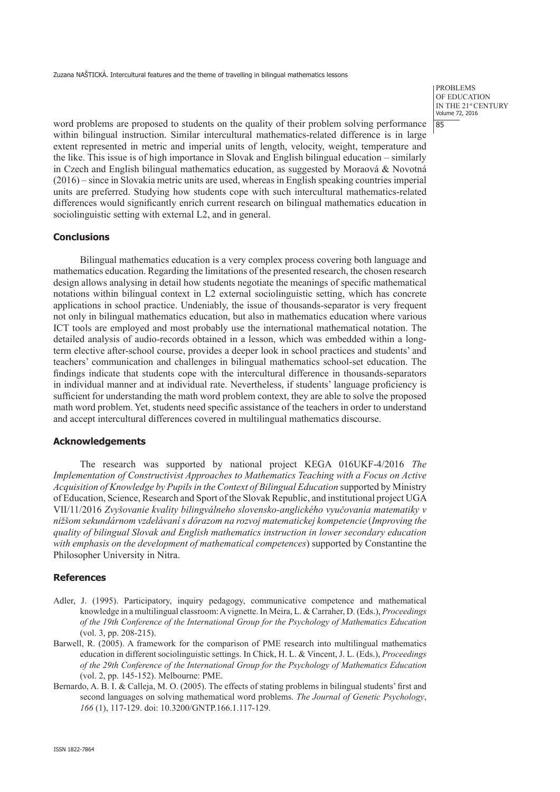PROBLEMS OF EDUCATION IN THE 21st CENTURY Volume 72, 2016 85

word problems are proposed to students on the quality of their problem solving performance within bilingual instruction. Similar intercultural mathematics-related difference is in large extent represented in metric and imperial units of length, velocity, weight, temperature and the like. This issue is of high importance in Slovak and English bilingual education – similarly in Czech and English bilingual mathematics education, as suggested by Moraová  $\&$  Novotná (2016) – since in Slovakia metric units are used, whereas in English speaking countries imperial units are preferred. Studying how students cope with such intercultural mathematics-related differences would significantly enrich current research on bilingual mathematics education in sociolinguistic setting with external L2, and in general.

# **Conclusions**

Bilingual mathematics education is a very complex process covering both language and mathematics education. Regarding the limitations of the presented research, the chosen research design allows analysing in detail how students negotiate the meanings of specific mathematical notations within bilingual context in L2 external sociolinguistic setting, which has concrete applications in school practice. Undeniably, the issue of thousands-separator is very frequent not only in bilingual mathematics education, but also in mathematics education where various ICT tools are employed and most probably use the international mathematical notation. The detailed analysis of audio-records obtained in a lesson, which was embedded within a longterm elective after-school course, provides a deeper look in school practices and students' and teachers' communication and challenges in bilingual mathematics school-set education. The findings indicate that students cope with the intercultural difference in thousands-separators in individual manner and at individual rate. Nevertheless, if students' language proficiency is sufficient for understanding the math word problem context, they are able to solve the proposed math word problem. Yet, students need specific assistance of the teachers in order to understand and accept intercultural differences covered in multilingual mathematics discourse.

## **Acknowledgements**

The research was supported by national project KEGA 016UKF-4/2016 *The Implementation of Constructivist Approaches to Mathematics Teaching with a Focus on Active Acquisition of Knowledge by Pupils in the Context of Bilingual Education* supported by Ministry of Education, Science, Research and Sport of the Slovak Republic, and institutional project UGA VII/11/2016 *Zvyšovanie kvality bilingválneho slovensko-anglického vyučovania matematiky v nižšom sekundárnom vzdelávaní s dôrazom na rozvoj matematickej kompetencie* (*Improving the quality of bilingual Slovak and English mathematics instruction in lower secondary education with emphasis on the development of mathematical competences*) supported by Constantine the Philosopher University in Nitra.

## **References**

- Adler, J. (1995). Participatory, inquiry pedagogy, communicative competence and mathematical knowledge in a multilingual classroom: A vignette. In Meira, L. & Carraher, D. (Eds.), *Proceedings of the 19th Conference of the International Group for the Psychology of Mathematics Education* (vol. 3, pp. 208-215).
- Barwell, R. (2005). A framework for the comparison of PME research into multilingual mathematics education in different sociolinguistic settings. In Chick, H. L. & Vincent, J. L. (Eds.), *Proceedings of the 29th Conference of the International Group for the Psychology of Mathematics Education* (vol. 2, pp. 145-152). Melbourne: PME.
- Bernardo, A. B. I. & Calleja, M. O. (2005). The effects of stating problems in bilingual students' first and second languages on solving mathematical word problems. *The Journal of Genetic Psychology*, *166* (1), 117-129. doi: 10.3200/GNTP.166.1.117-129.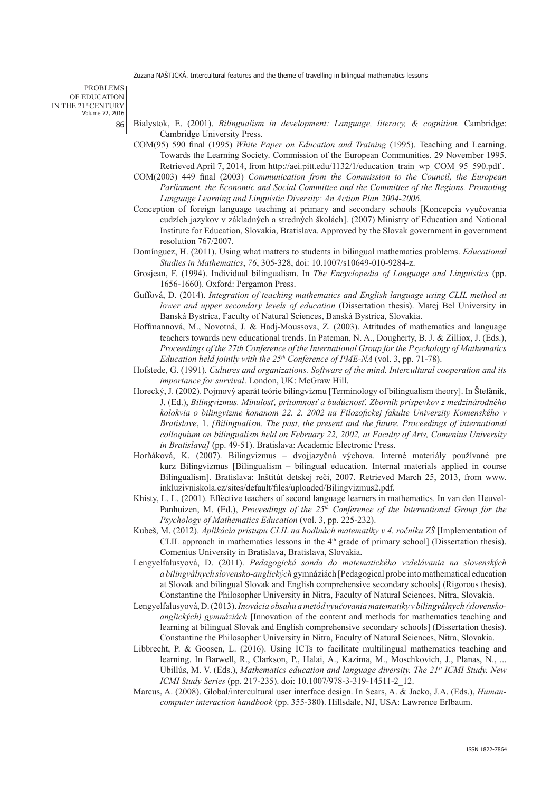PROBLEMS OF EDUCATION IN THE 21st CENTURY Volume 72, 2016 86

- Bialystok, E. (2001). *Bilingualism in development: Language, literacy, & cognition.* Cambridge: Cambridge University Press.
- COM(95) 590 final (1995) *White Paper on Education and Training* (1995). Teaching and Learning. Towards the Learning Society. Commission of the European Communities. 29 November 1995. Retrieved April 7, 2014, from http://aei.pitt.edu/1132/1/education\_train\_wp\_COM\_95\_590.pdf .
- COM(2003) 449 final (2003) *Communication from the Commission to the Council, the European Parliament, the Economic and Social Committee and the Committee of the Regions. Promoting Language Learning and Linguistic Diversity: An Action Plan 2004-2006*.
- Conception of foreign language teaching at primary and secondary schools [Koncepcia vyučovania cudzích jazykov v základných a stredných školách]. (2007) Ministry of Education and National Institute for Education, Slovakia, Bratislava. Approved by the Slovak government in government resolution 767/2007.
- Domínguez, H. (2011). Using what matters to students in bilingual mathematics problems. *Educational Studies in Mathematics*, *76*, 305-328, doi: 10.1007/s10649-010-9284-z.
- Grosjean, F. (1994). Individual bilingualism. In *The Encyclopedia of Language and Linguistics* (pp. 1656-1660). Oxford: Pergamon Press.
- Guffová, D. (2014). *Integration of teaching mathematics and English language using CLIL method at lower and upper secondary levels of education (Dissertation thesis)*. Matej Bel University in Banská Bystrica, Faculty of Natural Sciences, Banská Bystrica, Slovakia.
- Hoffmannová, M., Novotná, J. & Hadj-Moussova, Z. (2003). Attitudes of mathematics and language teachers towards new educational trends. In Pateman, N. A., Dougherty, B. J. & Zilliox, J. (Eds.), *Proceedings of the 27th Conference of the International Group for the Psychology of Mathematics Education held jointly with the 25th Conference of PME-NA* (vol. 3, pp. 71-78).
- Hofstede, G. (1991). *Cultures and organizations. Software of the mind. Intercultural cooperation and its importance for survival*. London, UK: McGraw Hill.
- Horecký, J. (2002). Pojmový aparát teórie bilingvizmu [Terminology of bilingualism theory]. In Štefánik, J. (Ed.), *Bilingvizmus. Minulosť, prítomnosť a budúcnosť. Zborník príspevkov z medzinárodného kolokvia o bilingvizme konanom 22. 2. 2002 na Filozofickej fakulte Univerzity Komenského v Bratislave*, 1. *[Bilingualism. The past, the present and the future. Proceedings of international colloquium on bilingualism held on February 22, 2002, at Faculty of Arts, Comenius University in Bratislava]* (pp. 49-51). Bratislava: Academic Electronic Press.
- Horňáková, K. (2007). Bilingvizmus dvojjazyčná výchova. Interné materiály používané pre kurz Bilingvizmus [Bilingualism – bilingual education. Internal materials applied in course Bilingualism]. Bratislava: Inštitút detskej reči, 2007. Retrieved March 25, 2013, from www. inkluzivniskola.cz/sites/default/files/uploaded/Bilingvizmus2.pdf.
- Khisty, L. L. (2001). Effective teachers of second language learners in mathematics. In van den Heuvel-Panhuizen, M. (Ed.), *Proceedings of the 25th Conference of the International Group for the Psychology of Mathematics Education* (vol. 3, pp. 225-232).
- Kubeš, M. (2012). *Aplikácia prístupu CLIL na hodinách matematiky v 4. ročníku ZŠ* [Implementation of CLIL approach in mathematics lessons in the  $4<sup>th</sup>$  grade of primary school] (Dissertation thesis). Comenius University in Bratislava, Bratislava, Slovakia.
- Lengyelfalusyová, D. (2011). *Pedagogická sonda do matematického vzdelávania na slovenských a bilingválnych slovensko-anglických* gymnáziách [Pedagogical probe into mathematical education at Slovak and bilingual Slovak and English comprehensive secondary schools] (Rigorous thesis). Constantine the Philosopher University in Nitra, Faculty of Natural Sciences, Nitra, Slovakia.
- Lengyelfalusyová, D. (2013). *Inovácia obsahu ametód vyučovania matematiky v bilingválnych (slovenskoanglických) gymnáziách* [Innovation of the content and methods for mathematics teaching and learning at bilingual Slovak and English comprehensive secondary schools] (Dissertation thesis). Constantine the Philosopher University in Nitra, Faculty of Natural Sciences, Nitra, Slovakia.
- Libbrecht, P. & Goosen, L. (2016). Using ICTs to facilitate multilingual mathematics teaching and learning. In Barwell, R., Clarkson, P., Halai, A., Kazima, M., Moschkovich, J., Planas, N., ... Ubillús, M. V. (Eds.), *Mathematics education and language diversity. The 21st ICMI Study. New ICMI Study Series* (pp. 217-235). doi: 10.1007/978-3-319-14511-2\_12.
- Marcus, A. (2008). Global/intercultural user interface design. In Sears, A. & Jacko, J.A. (Eds.), *Humancomputer interaction handbook* (pp. 355-380). Hillsdale, NJ, USA: Lawrence Erlbaum.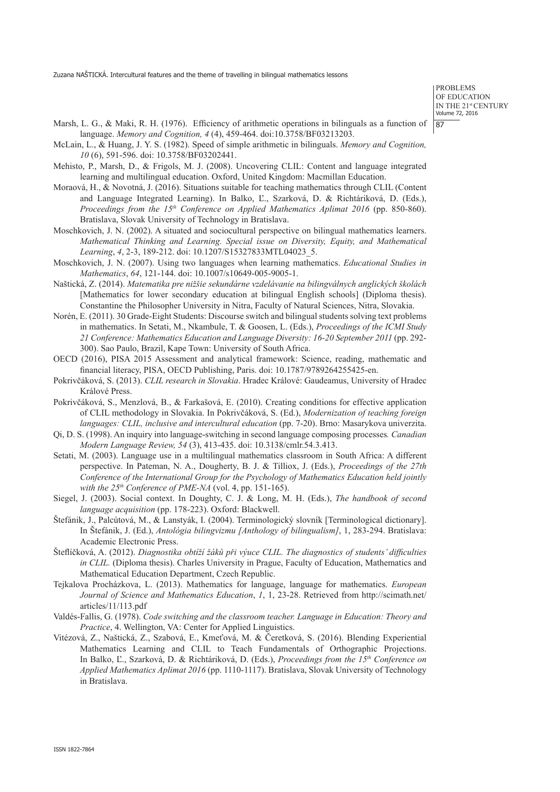PROBLEMS OF EDUCATION IN THE 21st CENTURY Volume 72, 2016 87

- Marsh, L. G., & Maki, R. H. (1976). Efficiency of arithmetic operations in bilinguals as a function of language. *Memory and Cognition, 4* (4), 459-464. doi:10.3758/BF03213203.
- McLain, L., & Huang, J. Y. S. (1982). Speed of simple arithmetic in bilinguals. *Memory and Cognition, 10* (6), 591-596. doi: 10.3758/BF03202441.
- Mehisto, P., Marsh, D., & Frigols, M. J. (2008). Uncovering CLIL: Content and language integrated learning and multilingual education. Oxford, United Kingdom: Macmillan Education.
- Moraová, H., & Novotná, J. (2016). Situations suitable for teaching mathematics through CLIL (Content and Language Integrated Learning). In Balko, Ľ., Szarková, D. & Richtáriková, D. (Eds.), *Proceedings from the 15th Conference on Applied Mathematics Aplimat 2016* (pp. 850-860). Bratislava, Slovak University of Technology in Bratislava.
- Moschkovich, J. N. (2002). A situated and sociocultural perspective on bilingual mathematics learners. *Mathematical Thinking and Learning. Special issue on Diversity, Equity, and Mathematical Learning*, *4*, 2-3, 189-212. doi: 10.1207/S15327833MTL04023\_5.
- Moschkovich, J. N. (2007). Using two languages when learning mathematics. *Educational Studies in Mathematics*, *64*, 121-144. doi: 10.1007/s10649-005-9005-1.
- Naštická, Z. (2014). *Matematika pre nižšie sekundárne vzdelávanie na bilingválnych anglických školách*  [Mathematics for lower secondary education at bilingual English schools] (Diploma thesis). Constantine the Philosopher University in Nitra, Faculty of Natural Sciences, Nitra, Slovakia.
- Norén, E. (2011). 30 Grade-Eight Students: Discourse switch and bilingual students solving text problems in mathematics. In Setati, M., Nkambule, T. & Goosen, L. (Eds.), *Proceedings of the ICMI Study 21 Conference: Mathematics Education and Language Diversity: 16-20 September 2011* (pp. 292- 300). Sao Paulo, Brazil, Kape Town: University of South Africa.
- OECD (2016), PISA 2015 Assessment and analytical framework: Science, reading, mathematic and financial literacy, PISA, OECD Publishing, Paris. doi: 10.1787/9789264255425-en.
- Pokrivčáková, S. (2013). *CLIL research in Slovakia*. Hradec Králové: Gaudeamus, University of Hradec Králové Press.
- Pokrivčáková, S., Menzlová, B., & Farkašová, E. (2010). Creating conditions for effective application of CLIL methodology in Slovakia. In Pokrivčáková, S. (Ed.), *Modernization of teaching foreign languages: CLIL, inclusive and intercultural education* (pp. 7-20). Brno: Masarykova univerzita.
- Qi, D. S. (1998). An inquiry into language-switching in second language composing processes*. Canadian Modern Language Review, 54* (3), 413-435. doi: 10.3138/cmlr.54.3.413.
- Setati, M. (2003). Language use in a multilingual mathematics classroom in South Africa: A different perspective. In Pateman, N. A., Dougherty, B. J. & Tilliox, J. (Eds.), *Proceedings of the 27th Conference of the International Group for the Psychology of Mathematics Education held jointly with the 25th Conference of PME-NA* (vol. 4, pp. 151-165).
- Siegel, J. (2003). Social context. In Doughty, C. J. & Long, M. H. (Eds.), *The handbook of second language acquisition* (pp. 178-223). Oxford: Blackwell.
- Štefánik, J., Palcútová, M., & Lanstyák, I. (2004). Terminologický slovník [Terminological dictionary]. In Štefánik, J. (Ed.), *Antológia bilingvizmu [Anthology of bilingualism]*, 1, 283-294. Bratislava: Academic Electronic Press.
- Šteflíčková, A. (2012). *Diagnostika obtíží žáků při výuce CLIL. The diagnostics of students' difficulties in CLIL.* (Diploma thesis). Charles University in Prague, Faculty of Education, Mathematics and Mathematical Education Department, Czech Republic.
- Tejkalova Procházkova, L. (2013). Mathematics for language, language for mathematics. *European Journal of Science and Mathematics Education*, *1*, 1, 23-28. Retrieved from http://scimath.net/ articles/11/113.pdf
- Valdés-Fallis, G. (1978). *Code switching and the classroom teacher. Language in Education: Theory and Practice*, 4. Wellington, VA: Center for Applied Linguistics.
- Vitézová, Z., Naštická, Z., Szabová, E., Kmeťová, M. & Čeretková, S. (2016). Blending Experiential Mathematics Learning and CLIL to Teach Fundamentals of Orthographic Projections. In Balko, Ľ., Szarková, D. & Richtáriková, D. (Eds.), *Proceedings from the 15th Conference on Applied Mathematics Aplimat 2016* (pp. 1110-1117). Bratislava, Slovak University of Technology in Bratislava.